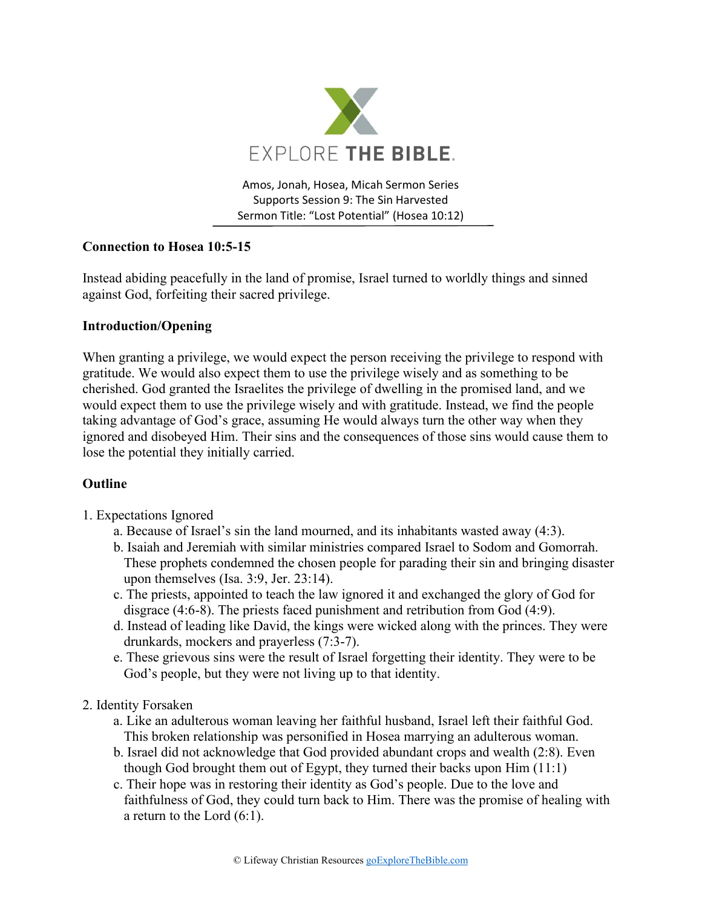

Amos, Jonah, Hosea, Micah Sermon Series Supports Session 9: The Sin Harvested Sermon Title: "Lost Potential" (Hosea 10:12)

## **Connection to Hosea 10:5-15**

Instead abiding peacefully in the land of promise, Israel turned to worldly things and sinned against God, forfeiting their sacred privilege.

## **Introduction/Opening**

When granting a privilege, we would expect the person receiving the privilege to respond with gratitude. We would also expect them to use the privilege wisely and as something to be cherished. God granted the Israelites the privilege of dwelling in the promised land, and we would expect them to use the privilege wisely and with gratitude. Instead, we find the people taking advantage of God's grace, assuming He would always turn the other way when they ignored and disobeyed Him. Their sins and the consequences of those sins would cause them to lose the potential they initially carried.

# **Outline**

- 1. Expectations Ignored
	- a. Because of Israel's sin the land mourned, and its inhabitants wasted away (4:3).
	- b. Isaiah and Jeremiah with similar ministries compared Israel to Sodom and Gomorrah. These prophets condemned the chosen people for parading their sin and bringing disaster upon themselves (Isa. 3:9, Jer. 23:14).
	- c. The priests, appointed to teach the law ignored it and exchanged the glory of God for disgrace (4:6-8). The priests faced punishment and retribution from God (4:9).
	- d. Instead of leading like David, the kings were wicked along with the princes. They were drunkards, mockers and prayerless (7:3-7).
	- e. These grievous sins were the result of Israel forgetting their identity. They were to be God's people, but they were not living up to that identity.

### 2. Identity Forsaken

- a. Like an adulterous woman leaving her faithful husband, Israel left their faithful God. This broken relationship was personified in Hosea marrying an adulterous woman.
- b. Israel did not acknowledge that God provided abundant crops and wealth (2:8). Even though God brought them out of Egypt, they turned their backs upon Him (11:1)
- c. Their hope was in restoring their identity as God's people. Due to the love and faithfulness of God, they could turn back to Him. There was the promise of healing with a return to the Lord (6:1).